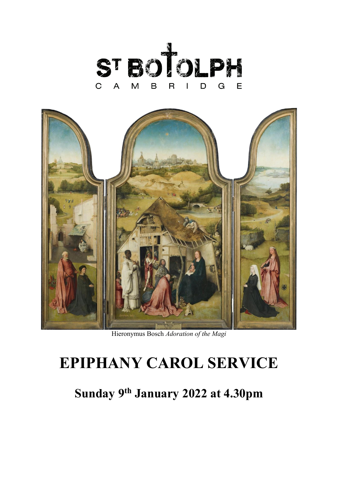



Hieronymus Bosch *Adoration of the Magi*

# **EPIPHANY CAROL SERVICE**

**Sunday 9th January 2022 at 4.30pm**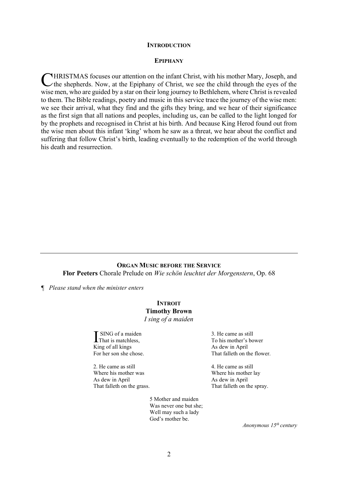#### **INTRODUCTION**

#### **EPIPHANY**

HRISTMAS focuses our attention on the infant Christ, with his mother Mary, Joseph, and CHRISTMAS focuses our attention on the infant Christ, with his mother Mary, Joseph, and the shepherds. Now, at the Epiphany of Christ, we see the child through the eyes of the wise men, who are guided by a star on their long journey to Bethlehem, where Christ is revealed to them. The Bible readings, poetry and music in this service trace the journey of the wise men: we see their arrival, what they find and the gifts they bring, and we hear of their significance as the first sign that all nations and peoples, including us, can be called to the light longed for by the prophets and recognised in Christ at his birth. And because King Herod found out from the wise men about this infant 'king' whom he saw as a threat, we hear about the conflict and suffering that follow Christ's birth, leading eventually to the redemption of the world through his death and resurrection.

#### **ORGAN MUSIC BEFORE THE SERVICE**

**Flor Peeters** Chorale Prelude on *Wie schön leuchtet der Morgenstern*, Op. 68

*¶ Please stand when the minister enters*

#### **INTROIT Timothy Brown**

*I sing of a maiden*

SING of a maiden I SING of a maider<br>That is matchless, King of all kings For her son she chose.

2. He came as still Where his mother was As dew in April That falleth on the grass.

> 5 Mother and maiden Was never one but she; Well may such a lady God's mother be.

3. He came as still To his mother's bower As dew in April That falleth on the flower.

4. He came as still Where his mother lay As dew in April That falleth on the spray.

*Anonymous 15th century*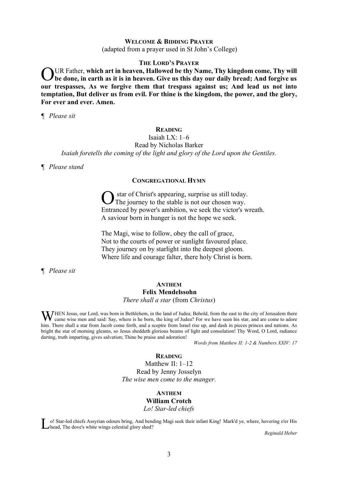# **WELCOME & BIDDING PRAYER** (adapted from a prayer used in St John's College)

#### **THE LORD'S PRAYER**

UR Father, **which art in heaven, Hallowed be thy Name, Thy kingdom come, Thy will be done, in earth as it is in heaven. Give us this day our daily bread; And forgive us our trespasses, As we forgive them that trespass against us; And lead us not into temptation, But deliver us from evil. For thine is the kingdom, the power, and the glory, For ever and ever. Amen.** O

*¶ Please sit*

# **READING**

Isaiah LX: 1–6

Read by Nicholas Barker *Isaiah foretells the coming of the light and glory of the Lord upon the Gentiles.*

*¶ Please stand*

#### **CONGREGATIONAL HYMN**

star of Christ's appearing, surprise us still today. The journey to the stable is not our chosen way. Entranced by power's ambition, we seek the victor's wreath. A saviour born in hunger is not the hope we seek. O

The Magi, wise to follow, obey the call of grace, Not to the courts of power or sunlight favoured place. They journey on by starlight into the deepest gloom. Where life and courage falter, there holy Christ is born.

*¶ Please sit*

# **ANTHEM Felix Mendelssohn** *There shall a star* (from *Christus*)

WHEN Jesus, our Lord, was born in Bethlehem, in the land of Judea; Behold, from the east to the city of Jerusalem there came wise men and said: Say, where is he born, the king of Judea? For we have seen his star, and are c came wise men and said: Say, where is he born, the king of Judea? For we have seen his star, and are come to adore him. There shall a star from Jacob come forth, and a sceptre from Israel rise up, and dash in pieces princes and nations. As bright the star of morning gleams, so Jesus sheddeth glorious beams of light and consolation! Thy Word, O Lord, radiance darting, truth imparting, gives salvation; Thine be praise and adoration!

*Words from Matthew II: 1-2 & Numbers XXIV: 17*

# **READING**

Matthew II: 1–12 Read by Jenny Josselyn *The wise men come to the manger.*

#### **ANTHEM**

# **William Crotch**

*Lo! Star-led chiefs*

o! Star-led chiefs Assyrian odours bring, And bending Magi seek their infant King! Mark'd ye, where, hovering o'er His Lo! Star-led chiefs Assyrian odours bring, And beneficial glory shed?

*Reginald Heber*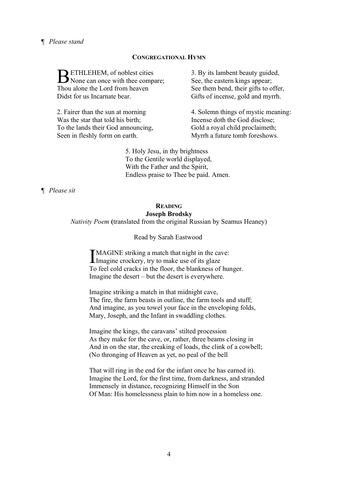# *¶ Please stand*

#### **CONGREGATIONAL HYMN**

**BETHLEHEM**, of noblest cities<br>None can once with thee comp None can once with thee compare; Thou alone the Lord from heaven Didst for us Incarnate bear.

2. Fairer than the sun at morning Was the star that told his birth; To the lands their God announcing, Seen in fleshly form on earth.

3. By its lambent beauty guided, See, the eastern kings appear; See them bend, their gifts to offer, Gifts of incense, gold and myrrh.

4. Solemn things of mystic meaning: Incense doth the God disclose; Gold a royal child proclaimeth; Myrrh a future tomb foreshows.

5. Holy Jesu, in thy brightness To the Gentile world displayed, With the Father and the Spirit, Endless praise to Thee be paid. Amen.

*¶ Please sit*

# **READING Joseph Brodsky**

*Nativity Poem* **(**translated from the original Russian by Seamus Heaney)

Read by Sarah Eastwood

MAGINE striking a match that night in the cave: IMAGINE striking a match that night in the ca<br>Imagine crockery, try to make use of its glaze To feel cold cracks in the floor, the blankness of hunger. Imagine the desert – but the desert is everywhere.

Imagine striking a match in that midnight cave, The fire, the farm beasts in outline, the farm tools and stuff; And imagine, as you towel your face in the enveloping folds, Mary, Joseph, and the Infant in swaddling clothes.

Imagine the kings, the caravans' stilted procession As they make for the cave, or, rather, three beams closing in And in on the star, the creaking of loads, the clink of a cowbell; (No thronging of Heaven as yet, no peal of the bell

That will ring in the end for the infant once he has earned it). Imagine the Lord, for the first time, from darkness, and stranded Immensely in distance, recognizing Himself in the Son Of Man: His homelessness plain to him now in a homeless one.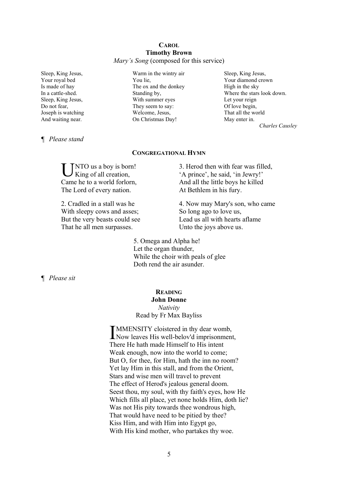#### **CAROL Timothy Brown** *Mary's Song* (composed for this service)

Sleep, King Jesus, Your royal bed Is made of hay In a cattle-shed. Sleep, King Jesus, Do not fear, Joseph is watching And waiting near.

Warm in the wintry air You lie, The ox and the donkey Standing by, With summer eyes They seem to say: Welcome, Jesus, On Christmas Day!

Sleep, King Jesus, Your diamond crown High in the sky Where the stars look down. Let your reign Of love begin, That all the world May enter in. *Charles Causley*

## *¶ Please stand*

#### **CONGREGATIONAL HYMN**

NTO us a boy is born! King of all creation, Came he to a world forlorn, The Lord of every nation. U

2. Cradled in a stall was he With sleepy cows and asses: But the very beasts could see That he all men surpasses.

3. Herod then with fear was filled, 'A prince', he said, 'in Jewry!' And all the little boys he killed At Bethlem in his fury.

4. Now may Mary's son, who came So long ago to love us, Lead us all with hearts aflame Unto the joys above us.

5. Omega and Alpha he! Let the organ thunder, While the choir with peals of glee Doth rend the air asunder.

*¶ Please sit*

# **READING John Donne** *Nativity*

Read by Fr Max Bayliss

MMENSITY cloistered in thy dear womb, **IMMENSITY** cloistered in thy dear womb,<br>Now leaves His well-belov'd imprisonment, There He hath made Himself to His intent Weak enough, now into the world to come; But O, for thee, for Him, hath the inn no room? Yet lay Him in this stall, and from the Orient, Stars and wise men will travel to prevent The effect of Herod's jealous general doom. Seest thou, my soul, with thy faith's eyes, how He Which fills all place, yet none holds Him, doth lie? Was not His pity towards thee wondrous high, That would have need to be pitied by thee? Kiss Him, and with Him into Egypt go, With His kind mother, who partakes thy woe.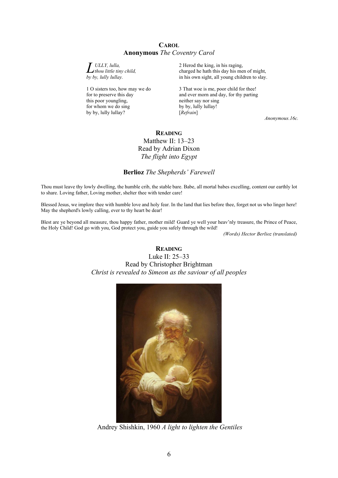#### **CAROL Anonymous** *The Coventry Carol*

*ULLY, lulla, thou little tiny child, <i>by by, lulla,*<br>*by by, lully lullay.* 

1 O sisters too, how may we do for to preserve this day this poor youngling, for whom we do sing by by, lully lullay?

2 Herod the king, in his raging, charged he hath this day his men of might, in his own sight, all young children to slay.

3 That woe is me, poor child for thee! and ever morn and day, for thy parting neither say nor sing by by, lully lullay! [*Refrain*]

*Anonymous.16c.*

# **READING** Matthew II: 13–23 Read by Adrian Dixon *The flight into Egypt*

## **Berlioz** *The Shepherds' Farewell*

Thou must leave thy lowly dwelling, the humble crib, the stable bare. Babe, all mortal babes excelling, content our earthly lot to share. Loving father, Loving mother, shelter thee with tender care!

Blessed Jesus, we implore thee with humble love and holy fear. In the land that lies before thee, forget not us who linger here! May the shepherd's lowly calling, ever to thy heart be dear!

Blest are ye beyond all measure, thou happy father, mother mild! Guard ye well your heav'nly treasure, the Prince of Peace, the Holy Child! God go with you, God protect you, guide you safely through the wild!

*(Words) Hector Berlioz (translated)*

# **READING** Luke II: 25–33 Read by Christopher Brightman *Christ is revealed to Simeon as the saviour of all peoples*



Andrey Shishkin, 1960 *A light to lighten the Gentiles*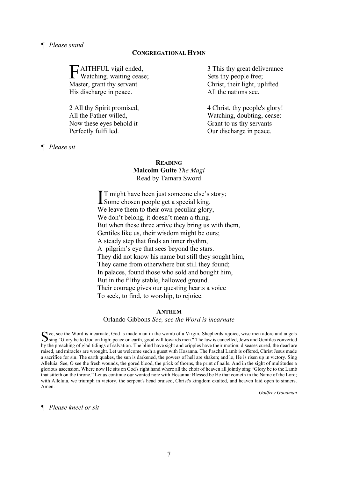## *¶ Please stand*

#### **CONGREGATIONAL HYMN**

AITHFUL vigil ended, **F**AITHFUL vigil ended,<br>Watching, waiting cease; Master, grant thy servant His discharge in peace.

2 All thy Spirit promised, All the Father willed, Now these eyes behold it Perfectly fulfilled.

*¶ Please sit*

3 This thy great deliverance Sets thy people free; Christ, their light, uplifted All the nations see.

4 Christ, thy people's glory! Watching, doubting, cease: Grant to us thy servants Our discharge in peace.

# **READING Malcolm Guite** *The Magi* Read by Tamara Sword

T might have been just someone else's story; IT might have been just someone else's<br>Some chosen people get a special king. We leave them to their own peculiar glory, We don't belong, it doesn't mean a thing. But when these three arrive they bring us with them, Gentiles like us, their wisdom might be ours; A steady step that finds an inner rhythm, A pilgrim's eye that sees beyond the stars. They did not know his name but still they sought him, They came from otherwhere but still they found; In palaces, found those who sold and bought him, But in the filthy stable, hallowed ground. Their courage gives our questing hearts a voice To seek, to find, to worship, to rejoice.

#### **ANTHEM**

Orlando Gibbons *See, see the Word is incarnate*

ee, see the Word is incarnate; God is made man in the womb of a Virgin. Shepherds rejoice, wise men adore and angels Sing "Glory be to God on high: peace on earth, good will towards men." The law is cancelled, Jews and Gentiles converted Sing "Glory be to God on high: peace on earth, good will towards men." The law is cancelled, Jews and by the preaching of glad tidings of salvation. The blind have sight and cripples have their motion; diseases cured, the dead are raised, and miracles are wrought. Let us welcome such a guest with Hosanna. The Paschal Lamb is offered, Christ Jesus made a sacrifice for sin. The earth quakes, the sun is darkened, the powers of hell are shaken; and lo, He is risen up in victory. Sing Alleluia. See, O see the fresh wounds, the gored blood, the prick of thorns, the print of nails. And in the sight of multitudes a glorious ascension. Where now He sits on God's right hand where all the choir of heaven all jointly sing "Glory be to the Lamb that sitteth on the throne." Let us continue our wonted note with Hosanna: Blessed be He that cometh in the Name of the Lord; with Alleluia, we triumph in victory, the serpent's head bruised, Christ's kingdom exalted, and heaven laid open to sinners. Amen.

*Godfrey Goodman*

*¶ Please kneel or sit*